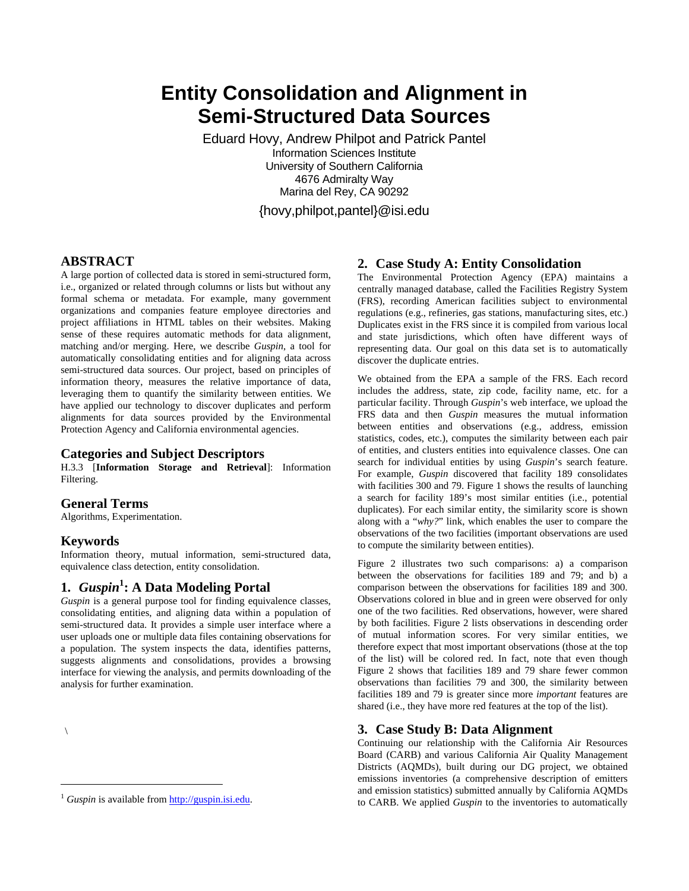# **Entity Consolidation and Alignment in Semi-Structured Data Sources**

Eduard Hovy, Andrew Philpot and Patrick Pantel Information Sciences Institute University of Southern California 4676 Admiralty Way Marina del Rey, CA 90292 {hovy,philpot,pantel}@isi.edu

# **ABSTRACT**

A large portion of collected data is stored in semi-structured form, i.e., organized or related through columns or lists but without any formal schema or metadata. For example, many government organizations and companies feature employee directories and project affiliations in HTML tables on their websites. Making sense of these requires automatic methods for data alignment, matching and/or merging. Here, we describe *Guspin*, a tool for automatically consolidating entities and for aligning data across semi-structured data sources. Our project, based on principles of information theory, measures the relative importance of data, leveraging them to quantify the similarity between entities. We have applied our technology to discover duplicates and perform alignments for data sources provided by the Environmental Protection Agency and California environmental agencies.

#### **Categories and Subject Descriptors**

H.3.3 [**Information Storage and Retrieval**]: Information Filtering.

#### **General Terms**

Algorithms, Experimentation.

### **Keywords**

Information theory, mutual information, semi-structured data, equivalence class detection, entity consolidation.

# **1.** *Guspin***<sup>1</sup> : A Data Modeling Portal**

*Guspin* is a general purpose tool for finding equivalence classes, consolidating entities, and aligning data within a population of semi-structured data. It provides a simple user interface where a user uploads one or multiple data files containing observations for a population. The system inspects the data, identifies patterns, suggests alignments and consolidations, provides a browsing interface for viewing the analysis, and permits downloading of the analysis for further examination.

 $\overline{a}$ 

# **2. Case Study A: Entity Consolidation**

The Environmental Protection Agency (EPA) maintains a centrally managed database, called the Facilities Registry System (FRS), recording American facilities subject to environmental regulations (e.g., refineries, gas stations, manufacturing sites, etc.) Duplicates exist in the FRS since it is compiled from various local and state jurisdictions, which often have different ways of representing data. Our goal on this data set is to automatically discover the duplicate entries.

We obtained from the EPA a sample of the FRS. Each record includes the address, state, zip code, facility name, etc. for a particular facility. Through *Guspin*'s web interface, we upload the FRS data and then *Guspin* measures the mutual information between entities and observations (e.g., address, emission statistics, codes, etc.), computes the similarity between each pair of entities, and clusters entities into equivalence classes. One can search for individual entities by using *Guspin*'s search feature. For example, *Guspin* discovered that facility 189 consolidates with facilities 300 and 79. Figure 1 shows the results of launching a search for facility 189's most similar entities (i.e., potential duplicates). For each similar entity, the similarity score is shown along with a "*why?*" link, which enables the user to compare the observations of the two facilities (important observations are used to compute the similarity between entities).

Figure 2 illustrates two such comparisons: a) a comparison between the observations for facilities 189 and 79; and b) a comparison between the observations for facilities 189 and 300. Observations colored in blue and in green were observed for only one of the two facilities. Red observations, however, were shared by both facilities. Figure 2 lists observations in descending order of mutual information scores. For very similar entities, we therefore expect that most important observations (those at the top of the list) will be colored red. In fact, note that even though Figure 2 shows that facilities 189 and 79 share fewer common observations than facilities 79 and 300, the similarity between facilities 189 and 79 is greater since more *important* features are shared (i.e., they have more red features at the top of the list).

### **3. Case Study B: Data Alignment**

Continuing our relationship with the California Air Resources Board (CARB) and various California Air Quality Management Districts (AQMDs), built during our DG project, we obtained emissions inventories (a comprehensive description of emitters and emission statistics) submitted annually by California AQMDs to CARB. We applied *Guspin* to the inventories to automatically

 $\setminus$ 

<sup>&</sup>lt;sup>1</sup> *Guspin* is available from http://guspin.isi.edu.